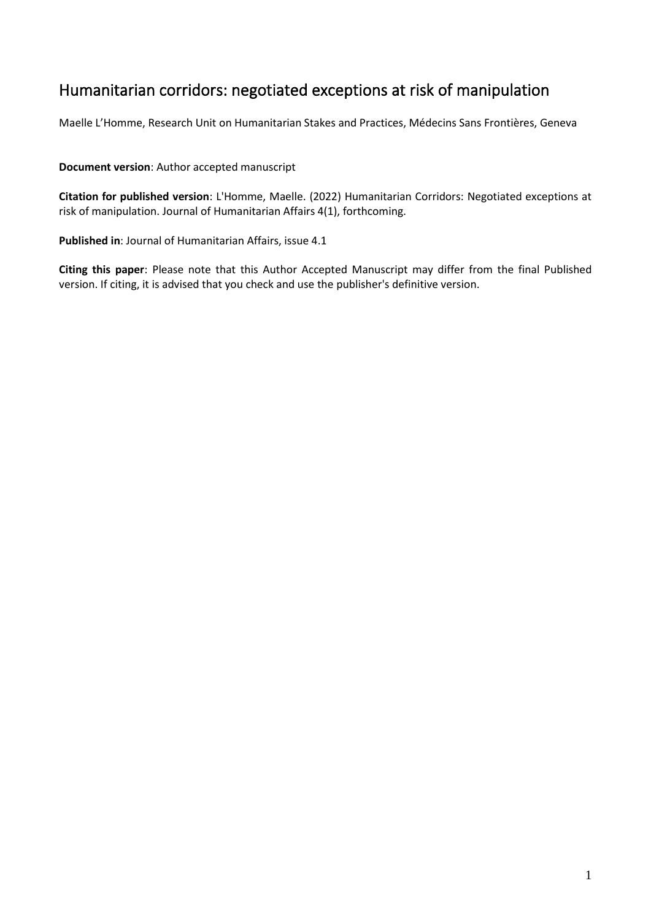# Humanitarian corridors: negotiated exceptions at risk of manipulation

Maelle L'Homme, Research Unit on Humanitarian Stakes and Practices, Médecins Sans Frontières, Geneva

**Document version**: Author accepted manuscript

**Citation for published version**: L'Homme, Maelle. (2022) Humanitarian Corridors: Negotiated exceptions at risk of manipulation. Journal of Humanitarian Affairs 4(1), forthcoming.

**Published in**: Journal of Humanitarian Affairs, issue 4.1

**Citing this paper**: Please note that this Author Accepted Manuscript may differ from the final Published version. If citing, it is advised that you check and use the publisher's definitive version.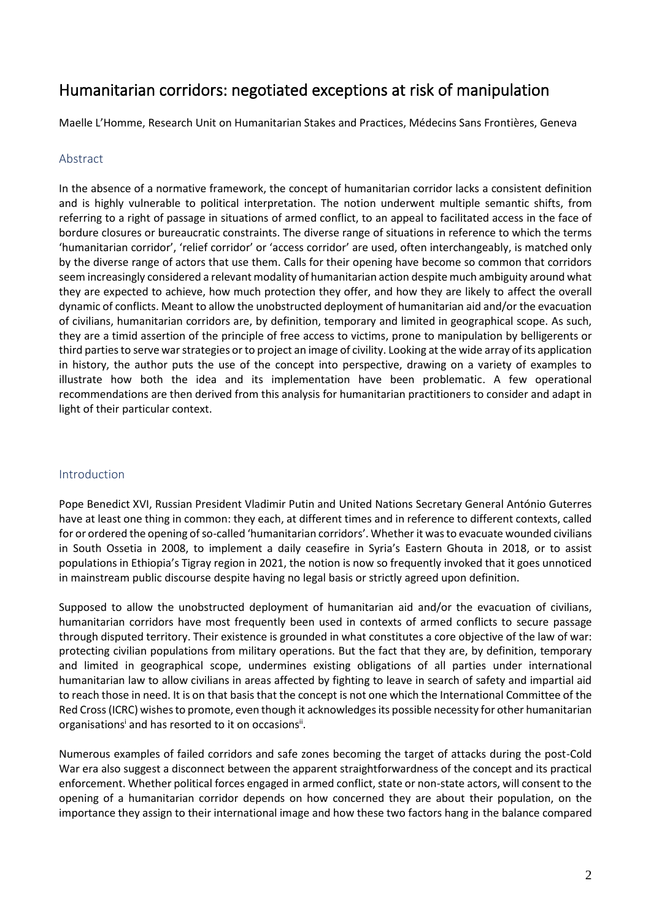# Humanitarian corridors: negotiated exceptions at risk of manipulation

Maelle L'Homme, Research Unit on Humanitarian Stakes and Practices, Médecins Sans Frontières, Geneva

#### Abstract

In the absence of a normative framework, the concept of humanitarian corridor lacks a consistent definition and is highly vulnerable to political interpretation. The notion underwent multiple semantic shifts, from referring to a right of passage in situations of armed conflict, to an appeal to facilitated access in the face of bordure closures or bureaucratic constraints. The diverse range of situations in reference to which the terms 'humanitarian corridor', 'relief corridor' or 'access corridor' are used, often interchangeably, is matched only by the diverse range of actors that use them. Calls for their opening have become so common that corridors seem increasingly considered a relevant modality of humanitarian action despite much ambiguity around what they are expected to achieve, how much protection they offer, and how they are likely to affect the overall dynamic of conflicts. Meant to allow the unobstructed deployment of humanitarian aid and/or the evacuation of civilians, humanitarian corridors are, by definition, temporary and limited in geographical scope. As such, they are a timid assertion of the principle of free access to victims, prone to manipulation by belligerents or third parties to serve war strategies or to project an image of civility. Looking at the wide array of its application in history, the author puts the use of the concept into perspective, drawing on a variety of examples to illustrate how both the idea and its implementation have been problematic. A few operational recommendations are then derived from this analysis for humanitarian practitioners to consider and adapt in light of their particular context.

#### Introduction

Pope Benedict XVI, Russian President Vladimir Putin and United Nations Secretary General António Guterres have at least one thing in common: they each, at different times and in reference to different contexts, called for or ordered the opening of so-called 'humanitarian corridors'. Whether it was to evacuate wounded civilians in South Ossetia in 2008, to implement a daily ceasefire in Syria's Eastern Ghouta in 2018, or to assist populations in Ethiopia's Tigray region in 2021, the notion is now so frequently invoked that it goes unnoticed in mainstream public discourse despite having no legal basis or strictly agreed upon definition.

Supposed to allow the unobstructed deployment of humanitarian aid and/or the evacuation of civilians, humanitarian corridors have most frequently been used in contexts of armed conflicts to secure passage through disputed territory. Their existence is grounded in what constitutes a core objective of the law of war: protecting civilian populations from military operations. But the fact that they are, by definition, temporary and limited in geographical scope, undermines existing obligations of all parties under international humanitarian law to allow civilians in areas affected by fighting to leave in search of safety and impartial aid to reach those in need. It is on that basis that the concept is not one which the International Committee of the Red Cross (ICRC) wishes to promote, even though it acknowledges its possible necessity for other humanitarian organisations<sup>i</sup> and has resorted to it on occasions<sup>ii</sup>.

Numerous examples of failed corridors and safe zones becoming the target of attacks during the post-Cold War era also suggest a disconnect between the apparent straightforwardness of the concept and its practical enforcement. Whether political forces engaged in armed conflict, state or non-state actors, will consent to the opening of a humanitarian corridor depends on how concerned they are about their population, on the importance they assign to their international image and how these two factors hang in the balance compared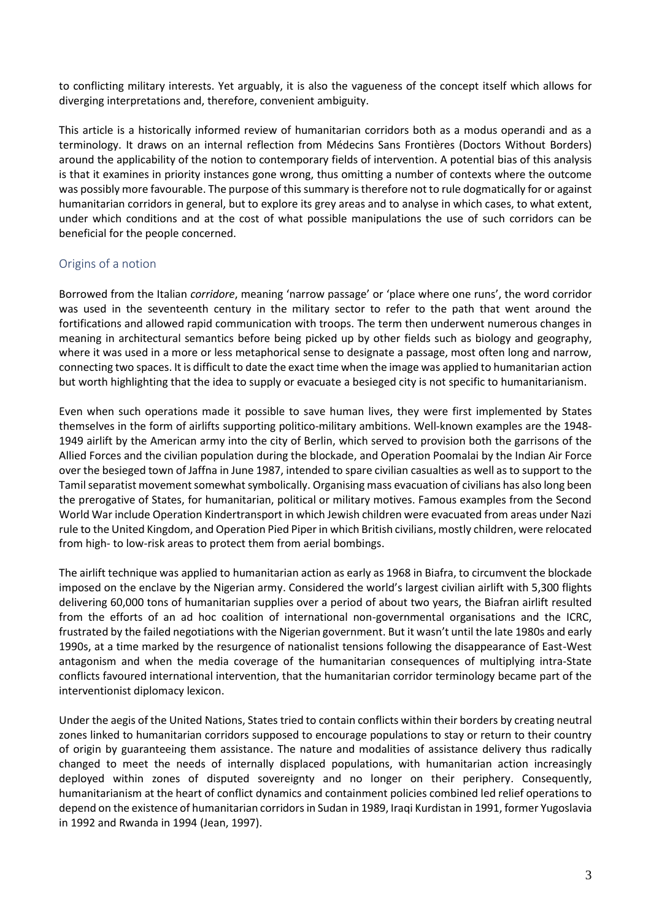to conflicting military interests. Yet arguably, it is also the vagueness of the concept itself which allows for diverging interpretations and, therefore, convenient ambiguity.

This article is a historically informed review of humanitarian corridors both as a modus operandi and as a terminology. It draws on an internal reflection from Médecins Sans Frontières (Doctors Without Borders) around the applicability of the notion to contemporary fields of intervention. A potential bias of this analysis is that it examines in priority instances gone wrong, thus omitting a number of contexts where the outcome was possibly more favourable. The purpose of this summary is therefore not to rule dogmatically for or against humanitarian corridors in general, but to explore its grey areas and to analyse in which cases, to what extent, under which conditions and at the cost of what possible manipulations the use of such corridors can be beneficial for the people concerned.

## Origins of a notion

Borrowed from the Italian *corridore*, meaning 'narrow passage' or 'place where one runs', the word corridor was used in the seventeenth century in the military sector to refer to the path that went around the fortifications and allowed rapid communication with troops. The term then underwent numerous changes in meaning in architectural semantics before being picked up by other fields such as biology and geography, where it was used in a more or less metaphorical sense to designate a passage, most often long and narrow, connecting two spaces. It is difficult to date the exact time when the image was applied to humanitarian action but worth highlighting that the idea to supply or evacuate a besieged city is not specific to humanitarianism.

Even when such operations made it possible to save human lives, they were first implemented by States themselves in the form of airlifts supporting politico-military ambitions. Well-known examples are the 1948- 1949 airlift by the American army into the city of Berlin, which served to provision both the garrisons of the Allied Forces and the civilian population during the blockade, and Operation Poomalai by the Indian Air Force over the besieged town of Jaffna in June 1987, intended to spare civilian casualties as well as to support to the Tamil separatist movement somewhat symbolically. Organising mass evacuation of civilians has also long been the prerogative of States, for humanitarian, political or military motives. Famous examples from the Second World War include Operation Kindertransport in which Jewish children were evacuated from areas under Nazi rule to the United Kingdom, and Operation Pied Piper in which British civilians, mostly children, were relocated from high- to low-risk areas to protect them from aerial bombings.

The airlift technique was applied to humanitarian action as early as 1968 in Biafra, to circumvent the blockade imposed on the enclave by the Nigerian army. Considered the world's largest civilian airlift with 5,300 flights delivering 60,000 tons of humanitarian supplies over a period of about two years, the Biafran airlift resulted from the efforts of an ad hoc coalition of international non-governmental organisations and the ICRC, frustrated by the failed negotiations with the Nigerian government. But it wasn't until the late 1980s and early 1990s, at a time marked by the resurgence of nationalist tensions following the disappearance of East-West antagonism and when the media coverage of the humanitarian consequences of multiplying intra-State conflicts favoured international intervention, that the humanitarian corridor terminology became part of the interventionist diplomacy lexicon.

Under the aegis of the United Nations, States tried to contain conflicts within their borders by creating neutral zones linked to humanitarian corridors supposed to encourage populations to stay or return to their country of origin by guaranteeing them assistance. The nature and modalities of assistance delivery thus radically changed to meet the needs of internally displaced populations, with humanitarian action increasingly deployed within zones of disputed sovereignty and no longer on their periphery. Consequently, humanitarianism at the heart of conflict dynamics and containment policies combined led relief operations to depend on the existence of humanitarian corridorsin Sudan in 1989, Iraqi Kurdistan in 1991, former Yugoslavia in 1992 and Rwanda in 1994 (Jean, 1997).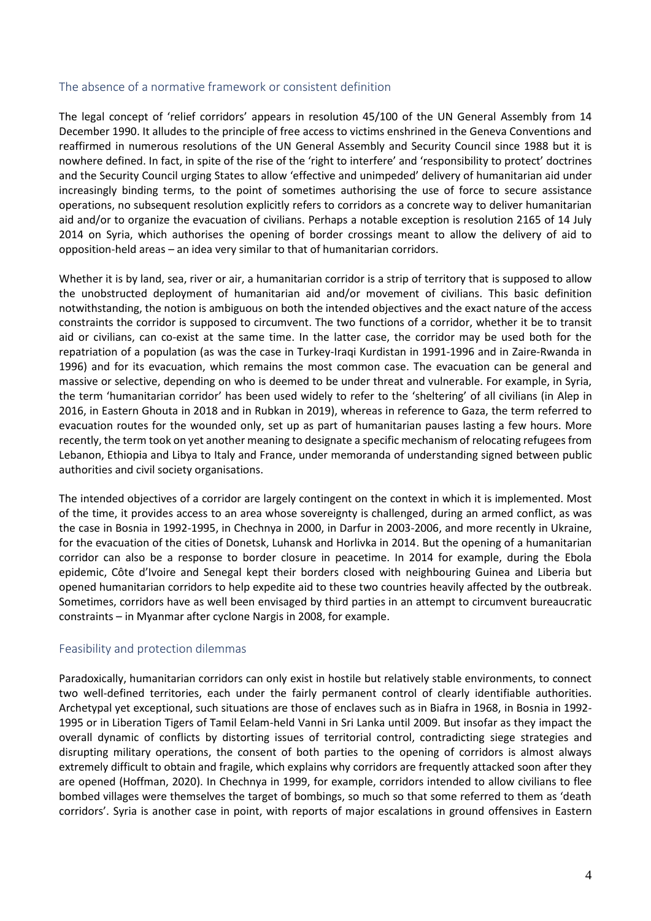#### The absence of a normative framework or consistent definition

The legal concept of 'relief corridors' appears in resolution 45/100 of the UN General Assembly from 14 December 1990. It alludes to the principle of free access to victims enshrined in the Geneva Conventions and reaffirmed in numerous resolutions of the UN General Assembly and Security Council since 1988 but it is nowhere defined. In fact, in spite of the rise of the 'right to interfere' and 'responsibility to protect' doctrines and the Security Council urging States to allow 'effective and unimpeded' delivery of humanitarian aid under increasingly binding terms, to the point of sometimes authorising the use of force to secure assistance operations, no subsequent resolution explicitly refers to corridors as a concrete way to deliver humanitarian aid and/or to organize the evacuation of civilians. Perhaps a notable exception is resolution 2165 of 14 July 2014 on Syria, which authorises the opening of border crossings meant to allow the delivery of aid to opposition-held areas – an idea very similar to that of humanitarian corridors.

Whether it is by land, sea, river or air, a humanitarian corridor is a strip of territory that is supposed to allow the unobstructed deployment of humanitarian aid and/or movement of civilians. This basic definition notwithstanding, the notion is ambiguous on both the intended objectives and the exact nature of the access constraints the corridor is supposed to circumvent. The two functions of a corridor, whether it be to transit aid or civilians, can co-exist at the same time. In the latter case, the corridor may be used both for the repatriation of a population (as was the case in Turkey-Iraqi Kurdistan in 1991-1996 and in Zaire-Rwanda in 1996) and for its evacuation, which remains the most common case. The evacuation can be general and massive or selective, depending on who is deemed to be under threat and vulnerable. For example, in Syria, the term 'humanitarian corridor' has been used widely to refer to the 'sheltering' of all civilians (in Alep in 2016, in Eastern Ghouta in 2018 and in Rubkan in 2019), whereas in reference to Gaza, the term referred to evacuation routes for the wounded only, set up as part of humanitarian pauses lasting a few hours. More recently, the term took on yet another meaning to designate a specific mechanism of relocating refugees from Lebanon, Ethiopia and Libya to Italy and France, under memoranda of understanding signed between public authorities and civil society organisations.

The intended objectives of a corridor are largely contingent on the context in which it is implemented. Most of the time, it provides access to an area whose sovereignty is challenged, during an armed conflict, as was the case in Bosnia in 1992-1995, in Chechnya in 2000, in Darfur in 2003-2006, and more recently in Ukraine, for the evacuation of the cities of Donetsk, Luhansk and Horlivka in 2014. But the opening of a humanitarian corridor can also be a response to border closure in peacetime. In 2014 for example, during the Ebola epidemic, Côte d'Ivoire and Senegal kept their borders closed with neighbouring Guinea and Liberia but opened humanitarian corridors to help expedite aid to these two countries heavily affected by the outbreak. Sometimes, corridors have as well been envisaged by third parties in an attempt to circumvent bureaucratic constraints – in Myanmar after cyclone Nargis in 2008, for example.

### Feasibility and protection dilemmas

Paradoxically, humanitarian corridors can only exist in hostile but relatively stable environments, to connect two well-defined territories, each under the fairly permanent control of clearly identifiable authorities. Archetypal yet exceptional, such situations are those of enclaves such as in Biafra in 1968, in Bosnia in 1992- 1995 or in Liberation Tigers of Tamil Eelam-held Vanni in Sri Lanka until 2009. But insofar as they impact the overall dynamic of conflicts by distorting issues of territorial control, contradicting siege strategies and disrupting military operations, the consent of both parties to the opening of corridors is almost always extremely difficult to obtain and fragile, which explains why corridors are frequently attacked soon after they are opened (Hoffman, 2020). In Chechnya in 1999, for example, corridors intended to allow civilians to flee bombed villages were themselves the target of bombings, so much so that some referred to them as 'death corridors'. Syria is another case in point, with reports of major escalations in ground offensives in Eastern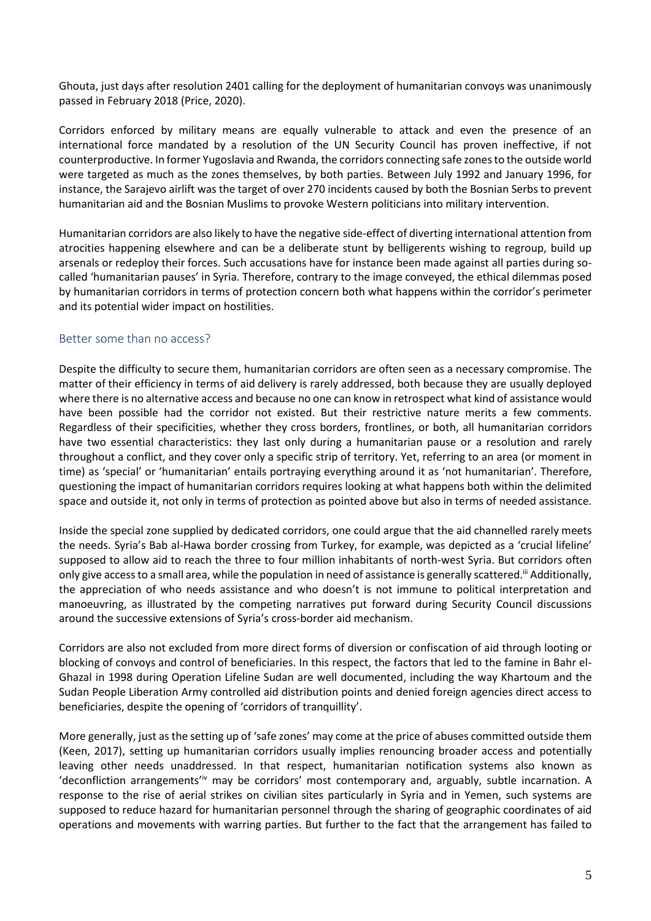Ghouta, just days after resolution 2401 calling for the deployment of humanitarian convoys was unanimously passed in February 2018 (Price, 2020).

Corridors enforced by military means are equally vulnerable to attack and even the presence of an international force mandated by a resolution of the UN Security Council has proven ineffective, if not counterproductive. In former Yugoslavia and Rwanda, the corridors connecting safe zones to the outside world were targeted as much as the zones themselves, by both parties. Between July 1992 and January 1996, for instance, the Sarajevo airlift was the target of over 270 incidents caused by both the Bosnian Serbs to prevent humanitarian aid and the Bosnian Muslims to provoke Western politicians into military intervention.

Humanitarian corridors are also likely to have the negative side-effect of diverting international attention from atrocities happening elsewhere and can be a deliberate stunt by belligerents wishing to regroup, build up arsenals or redeploy their forces. Such accusations have for instance been made against all parties during socalled 'humanitarian pauses' in Syria. Therefore, contrary to the image conveyed, the ethical dilemmas posed by humanitarian corridors in terms of protection concern both what happens within the corridor's perimeter and its potential wider impact on hostilities.

### Better some than no access?

Despite the difficulty to secure them, humanitarian corridors are often seen as a necessary compromise. The matter of their efficiency in terms of aid delivery is rarely addressed, both because they are usually deployed where there is no alternative access and because no one can know in retrospect what kind of assistance would have been possible had the corridor not existed. But their restrictive nature merits a few comments. Regardless of their specificities, whether they cross borders, frontlines, or both, all humanitarian corridors have two essential characteristics: they last only during a humanitarian pause or a resolution and rarely throughout a conflict, and they cover only a specific strip of territory. Yet, referring to an area (or moment in time) as 'special' or 'humanitarian' entails portraying everything around it as 'not humanitarian'. Therefore, questioning the impact of humanitarian corridors requires looking at what happens both within the delimited space and outside it, not only in terms of protection as pointed above but also in terms of needed assistance.

Inside the special zone supplied by dedicated corridors, one could argue that the aid channelled rarely meets the needs. Syria's Bab al-Hawa border crossing from Turkey, for example, was depicted as a 'crucial lifeline' supposed to allow aid to reach the three to four million inhabitants of north-west Syria. But corridors often only give access to a small area, while the population in need of assistance is generally scattered.<sup>ii</sup> Additionally, the appreciation of who needs assistance and who doesn't is not immune to political interpretation and manoeuvring, as illustrated by the competing narratives put forward during Security Council discussions around the successive extensions of Syria's cross-border aid mechanism.

Corridors are also not excluded from more direct forms of diversion or confiscation of aid through looting or blocking of convoys and control of beneficiaries. In this respect, the factors that led to the famine in Bahr el-Ghazal in 1998 during Operation Lifeline Sudan are well documented, including the way Khartoum and the Sudan People Liberation Army controlled aid distribution points and denied foreign agencies direct access to beneficiaries, despite the opening of 'corridors of tranquillity'.

More generally, just as the setting up of 'safe zones' may come at the price of abuses committed outside them (Keen, 2017), setting up humanitarian corridors usually implies renouncing broader access and potentially leaving other needs unaddressed. In that respect, humanitarian notification systems also known as 'deconfliction arrangements'<sup>iv</sup> may be corridors' most contemporary and, arguably, subtle incarnation. A response to the rise of aerial strikes on civilian sites particularly in Syria and in Yemen, such systems are supposed to reduce hazard for humanitarian personnel through the sharing of geographic coordinates of aid operations and movements with warring parties. But further to the fact that the arrangement has failed to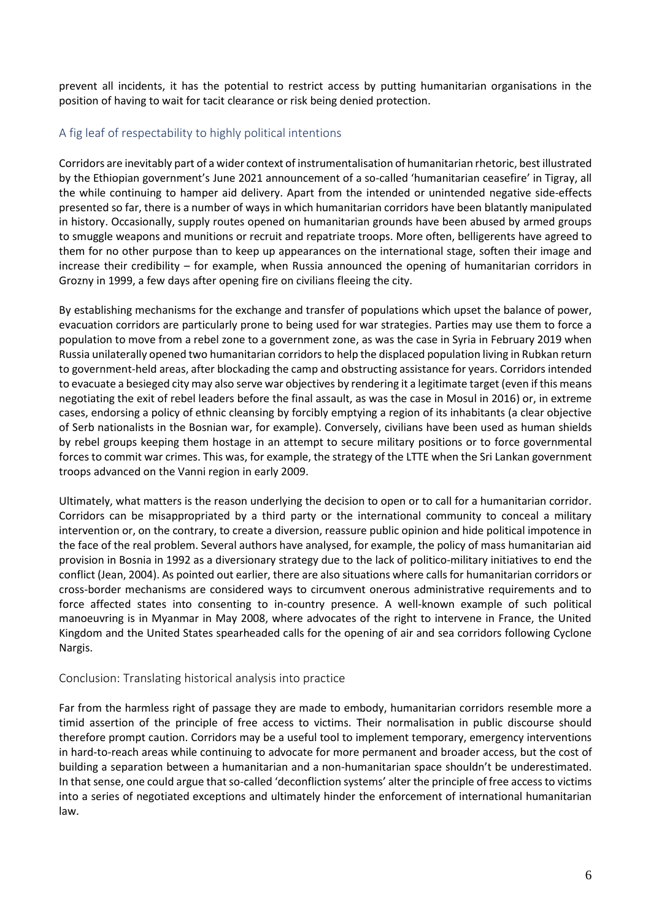prevent all incidents, it has the potential to restrict access by putting humanitarian organisations in the position of having to wait for tacit clearance or risk being denied protection.

## A fig leaf of respectability to highly political intentions

Corridors are inevitably part of a wider context of instrumentalisation of humanitarian rhetoric, best illustrated by the Ethiopian government's June 2021 announcement of a so-called 'humanitarian ceasefire' in Tigray, all the while continuing to hamper aid delivery. Apart from the intended or unintended negative side-effects presented so far, there is a number of ways in which humanitarian corridors have been blatantly manipulated in history. Occasionally, supply routes opened on humanitarian grounds have been abused by armed groups to smuggle weapons and munitions or recruit and repatriate troops. More often, belligerents have agreed to them for no other purpose than to keep up appearances on the international stage, soften their image and increase their credibility – for example, when Russia announced the opening of humanitarian corridors in Grozny in 1999, a few days after opening fire on civilians fleeing the city.

By establishing mechanisms for the exchange and transfer of populations which upset the balance of power, evacuation corridors are particularly prone to being used for war strategies. Parties may use them to force a population to move from a rebel zone to a government zone, as was the case in Syria in February 2019 when Russia unilaterally opened two humanitarian corridors to help the displaced population living in Rubkan return to government-held areas, after blockading the camp and obstructing assistance for years. Corridors intended to evacuate a besieged city may also serve war objectives by rendering it a legitimate target (even if this means negotiating the exit of rebel leaders before the final assault, as was the case in Mosul in 2016) or, in extreme cases, endorsing a policy of ethnic cleansing by forcibly emptying a region of its inhabitants (a clear objective of Serb nationalists in the Bosnian war, for example). Conversely, civilians have been used as human shields by rebel groups keeping them hostage in an attempt to secure military positions or to force governmental forces to commit war crimes. This was, for example, the strategy of the LTTE when the Sri Lankan government troops advanced on the Vanni region in early 2009.

Ultimately, what matters is the reason underlying the decision to open or to call for a humanitarian corridor. Corridors can be misappropriated by a third party or the international community to conceal a military intervention or, on the contrary, to create a diversion, reassure public opinion and hide political impotence in the face of the real problem. Several authors have analysed, for example, the policy of mass humanitarian aid provision in Bosnia in 1992 as a diversionary strategy due to the lack of politico-military initiatives to end the conflict (Jean, 2004). As pointed out earlier, there are also situations where calls for humanitarian corridors or cross-border mechanisms are considered ways to circumvent onerous administrative requirements and to force affected states into consenting to in-country presence. A well-known example of such political manoeuvring is in Myanmar in May 2008, where advocates of the right to intervene in France, the United Kingdom and the United States spearheaded calls for the opening of air and sea corridors following Cyclone Nargis.

### Conclusion: Translating historical analysis into practice

Far from the harmless right of passage they are made to embody, humanitarian corridors resemble more a timid assertion of the principle of free access to victims. Their normalisation in public discourse should therefore prompt caution. Corridors may be a useful tool to implement temporary, emergency interventions in hard-to-reach areas while continuing to advocate for more permanent and broader access, but the cost of building a separation between a humanitarian and a non-humanitarian space shouldn't be underestimated. In that sense, one could argue that so-called 'deconfliction systems' alter the principle of free access to victims into a series of negotiated exceptions and ultimately hinder the enforcement of international humanitarian law.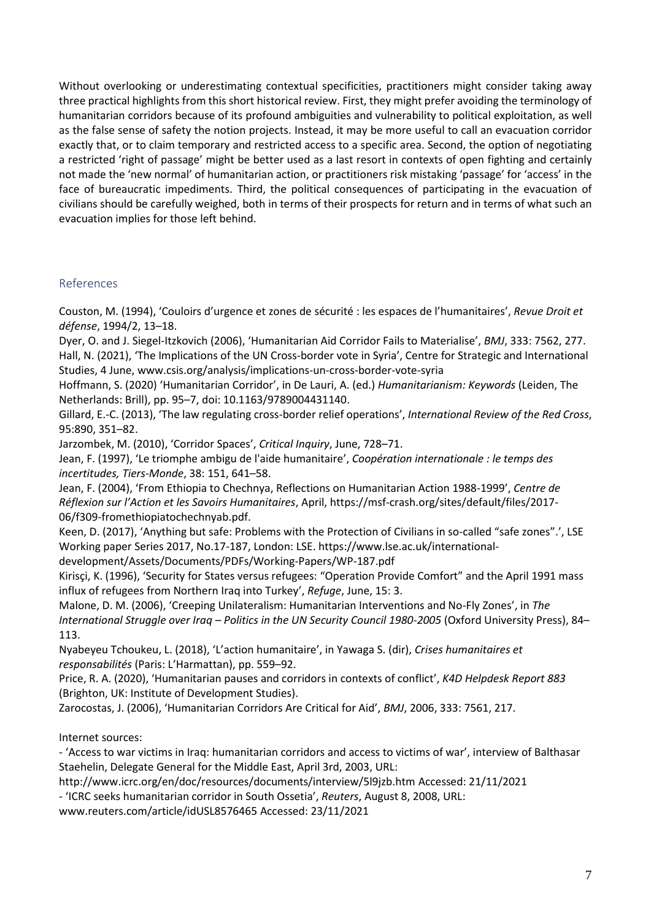Without overlooking or underestimating contextual specificities, practitioners might consider taking away three practical highlights from this short historical review. First, they might prefer avoiding the terminology of humanitarian corridors because of its profound ambiguities and vulnerability to political exploitation, as well as the false sense of safety the notion projects. Instead, it may be more useful to call an evacuation corridor exactly that, or to claim temporary and restricted access to a specific area. Second, the option of negotiating a restricted 'right of passage' might be better used as a last resort in contexts of open fighting and certainly not made the 'new normal' of humanitarian action, or practitioners risk mistaking 'passage' for 'access' in the face of bureaucratic impediments. Third, the political consequences of participating in the evacuation of civilians should be carefully weighed, both in terms of their prospects for return and in terms of what such an evacuation implies for those left behind.

### References

Couston, M. (1994), 'Couloirs d'urgence et zones de sécurité : les espaces de l'humanitaires', *Revue Droit et défense*, 1994/2, 13–18.

Dyer, O. and J. Siegel-Itzkovich (2006), 'Humanitarian Aid Corridor Fails to Materialise', *BMJ*, 333: 7562, 277. Hall, N. (2021), 'The Implications of the UN Cross-border vote in Syria', Centre for Strategic and International Studies, 4 June, www.csis.org/analysis/implications-un-cross-border-vote-syria

Hoffmann, S. (2020) 'Humanitarian Corridor', in De Lauri, A. (ed.) *Humanitarianism: Keywords* (Leiden, The Netherlands: Brill), pp. 95–7, doi: 10.1163/9789004431140.

Gillard, E.-C. (2013), 'The law regulating cross-border relief operations', *International Review of the Red Cross*, 95:890, 351–82.

Jarzombek, M. (2010), 'Corridor Spaces', *Critical Inquiry*, June, 728–71.

Jean, F. (1997), 'Le triomphe ambigu de l'aide humanitaire', *Coopération internationale : le temps des incertitudes, Tiers-Monde*, 38: 151, 641–58.

Jean, F. (2004), 'From Ethiopia to Chechnya, Reflections on Humanitarian Action 1988-1999', *Centre de Réflexion sur l'Action et les Savoirs Humanitaires*, April, https://msf-crash.org/sites/default/files/2017- 06/f309-fromethiopiatochechnyab.pdf.

Keen, D. (2017), 'Anything but safe: Problems with the Protection of Civilians in so-called "safe zones".', LSE Working paper Series 2017, No.17-187, London: LSE. https://www.lse.ac.uk/international-

development/Assets/Documents/PDFs/Working-Papers/WP-187.pdf

Kirisçi, K. (1996), 'Security for States versus refugees: "Operation Provide Comfort" and the April 1991 mass influx of refugees from Northern Iraq into Turkey', *Refuge*, June, 15: 3.

Malone, D. M. (2006), 'Creeping Unilateralism: Humanitarian Interventions and No-Fly Zones', in *The International Struggle over Iraq – Politics in the UN Security Council 1980-2005* (Oxford University Press), 84– 113.

Nyabeyeu Tchoukeu, L. (2018), 'L'action humanitaire', in Yawaga S. (dir), *Crises humanitaires et responsabilités* (Paris: L'Harmattan), pp. 559–92.

Price, R. A. (2020), 'Humanitarian pauses and corridors in contexts of conflict', *K4D Helpdesk Report 883* (Brighton, UK: Institute of Development Studies).

Zarocostas, J. (2006), 'Humanitarian Corridors Are Critical for Aid', *BMJ*, 2006, 333: 7561, 217.

Internet sources:

- 'Access to war victims in Iraq: humanitarian corridors and access to victims of war', interview of Balthasar Staehelin, Delegate General for the Middle East, April 3rd, 2003, URL:

http://www.icrc.org/en/doc/resources/documents/interview/5l9jzb.htm Accessed: 21/11/2021

- 'ICRC seeks humanitarian corridor in South Ossetia', *Reuters*, August 8, 2008, URL:

[www.reuters.com/article/idUSL8576465](http://www.reuters.com/article/idUSL8576465) Accessed: 23/11/2021